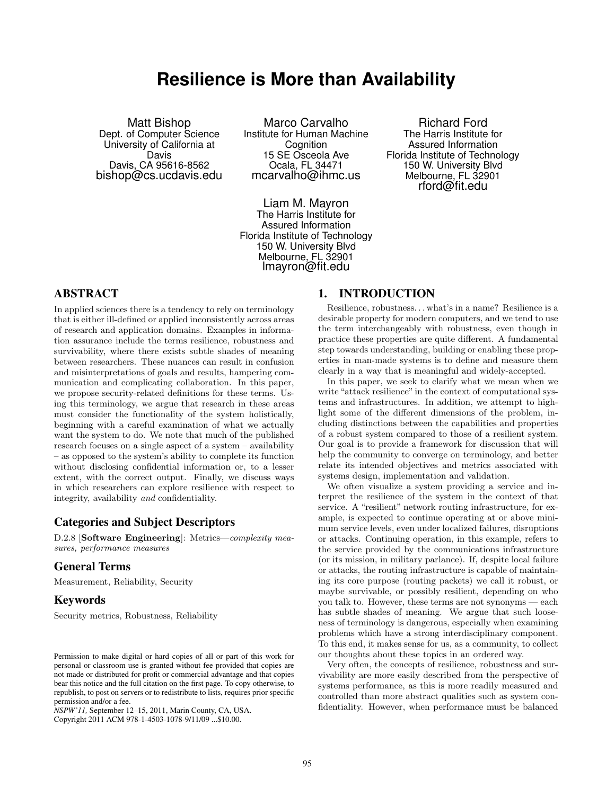# **Resilience is More than Availability**

Matt Bishop Dept. of Computer Science University of California at Davis Davis, CA 95616-8562 bishop@cs.ucdavis.edu

Marco Carvalho Institute for Human Machine Cognition 15 SE Osceola Ave Ocala, FL 34471 mcarvalho@ihmc.us

Liam M. Mayron The Harris Institute for Assured Information Florida Institute of Technology 150 W. University Blvd Melbourne, FL 32901 lmayron@fit.edu

Richard Ford The Harris Institute for Assured Information Florida Institute of Technology 150 W. University Blvd Melbourne, FL 32901 rford@fit.edu

# ABSTRACT

In applied sciences there is a tendency to rely on terminology that is either ill-defined or applied inconsistently across areas of research and application domains. Examples in information assurance include the terms resilience, robustness and survivability, where there exists subtle shades of meaning between researchers. These nuances can result in confusion and misinterpretations of goals and results, hampering communication and complicating collaboration. In this paper, we propose security-related definitions for these terms. Using this terminology, we argue that research in these areas must consider the functionality of the system holistically, beginning with a careful examination of what we actually want the system to do. We note that much of the published research focuses on a single aspect of a system – availability – as opposed to the system's ability to complete its function without disclosing confidential information or, to a lesser extent, with the correct output. Finally, we discuss ways in which researchers can explore resilience with respect to integrity, availability and confidentiality.

#### Categories and Subject Descriptors

D.2.8 [Software Engineering]: Metrics—complexity measures, performance measures

#### General Terms

Measurement, Reliability, Security

#### Keywords

Security metrics, Robustness, Reliability

*NSPW'11,* September 12–15, 2011, Marin County, CA, USA.

Copyright 2011 ACM 978-1-4503-1078-9/11/09 ...\$10.00.

#### 1. INTRODUCTION

Resilience, robustness. . . what's in a name? Resilience is a desirable property for modern computers, and we tend to use the term interchangeably with robustness, even though in practice these properties are quite different. A fundamental step towards understanding, building or enabling these properties in man-made systems is to define and measure them clearly in a way that is meaningful and widely-accepted.

In this paper, we seek to clarify what we mean when we write "attack resilience" in the context of computational systems and infrastructures. In addition, we attempt to highlight some of the different dimensions of the problem, including distinctions between the capabilities and properties of a robust system compared to those of a resilient system. Our goal is to provide a framework for discussion that will help the community to converge on terminology, and better relate its intended objectives and metrics associated with systems design, implementation and validation.

We often visualize a system providing a service and interpret the resilience of the system in the context of that service. A "resilient" network routing infrastructure, for example, is expected to continue operating at or above minimum service levels, even under localized failures, disruptions or attacks. Continuing operation, in this example, refers to the service provided by the communications infrastructure (or its mission, in military parlance). If, despite local failure or attacks, the routing infrastructure is capable of maintaining its core purpose (routing packets) we call it robust, or maybe survivable, or possibly resilient, depending on who you talk to. However, these terms are not synonyms — each has subtle shades of meaning. We argue that such looseness of terminology is dangerous, especially when examining problems which have a strong interdisciplinary component. To this end, it makes sense for us, as a community, to collect our thoughts about these topics in an ordered way.

Very often, the concepts of resilience, robustness and survivability are more easily described from the perspective of systems performance, as this is more readily measured and controlled than more abstract qualities such as system confidentiality. However, when performance must be balanced

Permission to make digital or hard copies of all or part of this work for personal or classroom use is granted without fee provided that copies are not made or distributed for profit or commercial advantage and that copies bear this notice and the full citation on the first page. To copy otherwise, to republish, to post on servers or to redistribute to lists, requires prior specific permission and/or a fee.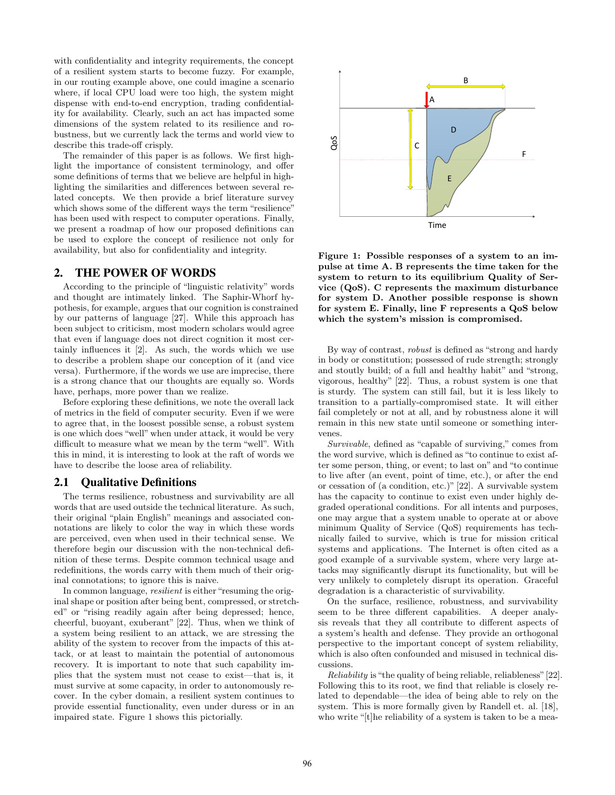with confidentiality and integrity requirements, the concept of a resilient system starts to become fuzzy. For example, in our routing example above, one could imagine a scenario where, if local CPU load were too high, the system might dispense with end-to-end encryption, trading confidentiality for availability. Clearly, such an act has impacted some dimensions of the system related to its resilience and robustness, but we currently lack the terms and world view to describe this trade-off crisply.

The remainder of this paper is as follows. We first highlight the importance of consistent terminology, and offer some definitions of terms that we believe are helpful in highlighting the similarities and differences between several related concepts. We then provide a brief literature survey which shows some of the different ways the term "resilience" has been used with respect to computer operations. Finally, we present a roadmap of how our proposed definitions can be used to explore the concept of resilience not only for availability, but also for confidentiality and integrity.

#### 2. THE POWER OF WORDS

According to the principle of "linguistic relativity" words and thought are intimately linked. The Saphir-Whorf hypothesis, for example, argues that our cognition is constrained by our patterns of language [27]. While this approach has been subject to criticism, most modern scholars would agree that even if language does not direct cognition it most certainly influences it [2]. As such, the words which we use to describe a problem shape our conception of it (and vice versa). Furthermore, if the words we use are imprecise, there is a strong chance that our thoughts are equally so. Words have, perhaps, more power than we realize.

Before exploring these definitions, we note the overall lack of metrics in the field of computer security. Even if we were to agree that, in the loosest possible sense, a robust system is one which does "well" when under attack, it would be very difficult to measure what we mean by the term "well". With this in mind, it is interesting to look at the raft of words we have to describe the loose area of reliability.

#### 2.1 Qualitative Definitions

The terms resilience, robustness and survivability are all words that are used outside the technical literature. As such, their original "plain English" meanings and associated connotations are likely to color the way in which these words are perceived, even when used in their technical sense. We therefore begin our discussion with the non-technical definition of these terms. Despite common technical usage and redefinitions, the words carry with them much of their original connotations; to ignore this is naive.

In common language, resilient is either "resuming the original shape or position after being bent, compressed, or stretched" or "rising readily again after being depressed; hence, cheerful, buoyant, exuberant" [22]. Thus, when we think of a system being resilient to an attack, we are stressing the ability of the system to recover from the impacts of this attack, or at least to maintain the potential of autonomous recovery. It is important to note that such capability implies that the system must not cease to exist—that is, it must survive at some capacity, in order to autonomously recover. In the cyber domain, a resilient system continues to provide essential functionality, even under duress or in an impaired state. Figure 1 shows this pictorially.



Figure 1: Possible responses of a system to an impulse at time A. B represents the time taken for the system to return to its equilibrium Quality of Service (QoS). C represents the maximum disturbance for system D. Another possible response is shown for system E. Finally, line F represents a QoS below which the system's mission is compromised.

By way of contrast, robust is defined as "strong and hardy in body or constitution; possessed of rude strength; strongly and stoutly build; of a full and healthy habit" and "strong, vigorous, healthy" [22]. Thus, a robust system is one that is sturdy. The system can still fail, but it is less likely to transition to a partially-compromised state. It will either fail completely or not at all, and by robustness alone it will remain in this new state until someone or something intervenes.

Survivable, defined as "capable of surviving," comes from the word survive, which is defined as "to continue to exist after some person, thing, or event; to last on" and "to continue to live after (an event, point of time, etc.), or after the end or cessation of (a condition, etc.)" [22]. A survivable system has the capacity to continue to exist even under highly degraded operational conditions. For all intents and purposes, one may argue that a system unable to operate at or above minimum Quality of Service (QoS) requirements has technically failed to survive, which is true for mission critical systems and applications. The Internet is often cited as a good example of a survivable system, where very large attacks may significantly disrupt its functionality, but will be very unlikely to completely disrupt its operation. Graceful degradation is a characteristic of survivability.

On the surface, resilience, robustness, and survivability seem to be three different capabilities. A deeper analysis reveals that they all contribute to different aspects of a system's health and defense. They provide an orthogonal perspective to the important concept of system reliability, which is also often confounded and misused in technical discussions.

Reliability is "the quality of being reliable, reliableness" [22]. Following this to its root, we find that reliable is closely related to dependable—the idea of being able to rely on the system. This is more formally given by Randell et. al. [18], who write "[t]he reliability of a system is taken to be a mea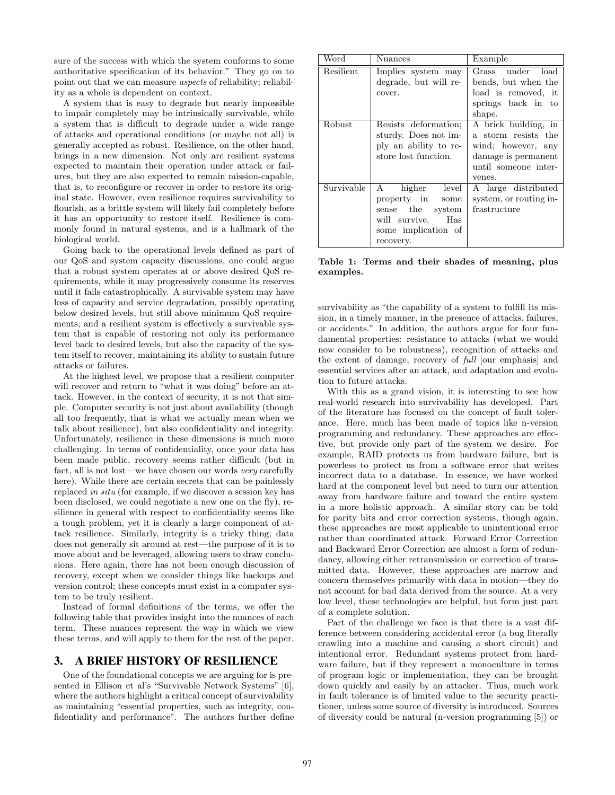sure of the success with which the system conforms to some authoritative specification of its behavior." They go on to point out that we can measure aspects of reliability; reliability as a whole is dependent on context.

A system that is easy to degrade but nearly impossible to impair completely may be intrinsically survivable, while a system that is difficult to degrade under a wide range of attacks and operational conditions (or maybe not all) is generally accepted as robust. Resilience, on the other hand, brings in a new dimension. Not only are resilient systems expected to maintain their operation under attack or failures, but they are also expected to remain mission-capable, that is, to reconfigure or recover in order to restore its original state. However, even resilience requires survivability to flourish, as a brittle system will likely fail completely before it has an opportunity to restore itself. Resilience is commonly found in natural systems, and is a hallmark of the biological world.

Going back to the operational levels defined as part of our QoS and system capacity discussions, one could argue that a robust system operates at or above desired QoS requirements, while it may progressively consume its reserves until it fails catastrophically. A survivable system may have loss of capacity and service degradation, possibly operating below desired levels, but still above minimum QoS requirements; and a resilient system is effectively a survivable system that is capable of restoring not only its performance level back to desired levels, but also the capacity of the system itself to recover, maintaining its ability to sustain future attacks or failures.

At the highest level, we propose that a resilient computer will recover and return to "what it was doing" before an attack. However, in the context of security, it is not that simple. Computer security is not just about availability (though all too frequently, that is what we actually mean when we talk about resilience), but also confidentiality and integrity. Unfortunately, resilience in these dimensions is much more challenging. In terms of confidentiality, once your data has been made public, recovery seems rather difficult (but in fact, all is not lost—we have chosen our words very carefully here). While there are certain secrets that can be painlessly replaced in situ (for example, if we discover a session key has been disclosed, we could negotiate a new one on the fly), resilience in general with respect to confidentiality seems like a tough problem, yet it is clearly a large component of attack resilience. Similarly, integrity is a tricky thing; data does not generally sit around at rest—the purpose of it is to move about and be leveraged, allowing users to draw conclusions. Here again, there has not been enough discussion of recovery, except when we consider things like backups and version control; these concepts must exist in a computer system to be truly resilient.

Instead of formal definitions of the terms, we offer the following table that provides insight into the nuances of each term. These nuances represent the way in which we view these terms, and will apply to them for the rest of the paper.

#### 3. A BRIEF HISTORY OF RESILIENCE

One of the foundational concepts we are arguing for is presented in Ellison et al's "Survivable Network Systems" [6], where the authors highlight a critical concept of survivability as maintaining "essential properties, such as integrity, confidentiality and performance". The authors further define

| Word       | Nuances                                                                                                                            | Example                                                                                                                    |
|------------|------------------------------------------------------------------------------------------------------------------------------------|----------------------------------------------------------------------------------------------------------------------------|
| Resilient  | Implies system may<br>degrade, but will re-<br>cover.                                                                              | Grass under load<br>bends, but when the<br>load is removed, it<br>springs back in to<br>shape.                             |
| Robust     | Resists deformation;<br>sturdy. Does not im-<br>ply an ability to re-<br>store lost function.                                      | A brick building, in<br>a storm resists the<br>wind; however, any<br>damage is permanent<br>until someone inter-<br>venes. |
| Survivable | higher<br>level<br>A<br>property—in some<br>sense the<br>system<br>will survive.<br><b>Has</b><br>some implication of<br>recovery. | A large distributed<br>system, or routing in-<br>frastructure                                                              |

Table 1: Terms and their shades of meaning, plus examples.

survivability as "the capability of a system to fulfill its mission, in a timely manner, in the presence of attacks, failures, or accidents." In addition, the authors argue for four fundamental properties: resistance to attacks (what we would now consider to be robustness), recognition of attacks and the extent of damage, recovery of full [our emphasis] and essential services after an attack, and adaptation and evolution to future attacks.

With this as a grand vision, it is interesting to see how real-world research into survivability has developed. Part of the literature has focused on the concept of fault tolerance. Here, much has been made of topics like n-version programming and redundancy. These approaches are effective, but provide only part of the system we desire. For example, RAID protects us from hardware failure, but is powerless to protect us from a software error that writes incorrect data to a database. In essence, we have worked hard at the component level but need to turn our attention away from hardware failure and toward the entire system in a more holistic approach. A similar story can be told for parity bits and error correction systems, though again, these approaches are most applicable to unintentional error rather than coordinated attack. Forward Error Correction and Backward Error Correction are almost a form of redundancy, allowing either retransmission or correction of transmitted data. However, these approaches are narrow and concern themselves primarily with data in motion—they do not account for bad data derived from the source. At a very low level, these technologies are helpful, but form just part of a complete solution.

Part of the challenge we face is that there is a vast difference between considering accidental error (a bug literally crawling into a machine and causing a short circuit) and intentional error. Redundant systems protect from hardware failure, but if they represent a monoculture in terms of program logic or implementation, they can be brought down quickly and easily by an attacker. Thus, much work in fault tolerance is of limited value to the security practitioner, unless some source of diversity is introduced. Sources of diversity could be natural (n-version programming [5]) or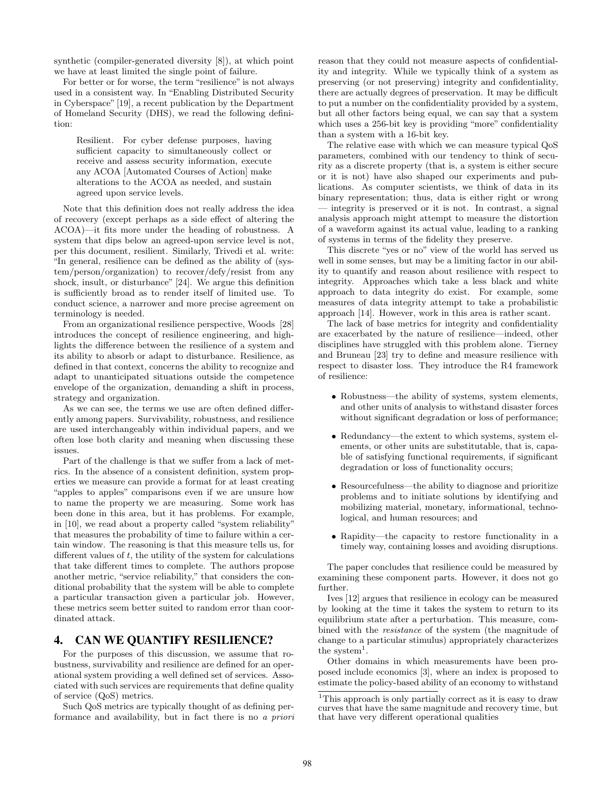synthetic (compiler-generated diversity [8]), at which point we have at least limited the single point of failure.

For better or for worse, the term "resilience" is not always used in a consistent way. In "Enabling Distributed Security in Cyberspace" [19], a recent publication by the Department of Homeland Security (DHS), we read the following definition:

Resilient. For cyber defense purposes, having sufficient capacity to simultaneously collect or receive and assess security information, execute any ACOA [Automated Courses of Action] make alterations to the ACOA as needed, and sustain agreed upon service levels.

Note that this definition does not really address the idea of recovery (except perhaps as a side effect of altering the ACOA)—it fits more under the heading of robustness. A system that dips below an agreed-upon service level is not, per this document, resilient. Similarly, Trivedi et al. write: "In general, resilience can be defined as the ability of (system/person/organization) to recover/defy/resist from any shock, insult, or disturbance" [24]. We argue this definition is sufficiently broad as to render itself of limited use. To conduct science, a narrower and more precise agreement on terminology is needed.

From an organizational resilience perspective, Woods [28] introduces the concept of resilience engineering, and highlights the difference between the resilience of a system and its ability to absorb or adapt to disturbance. Resilience, as defined in that context, concerns the ability to recognize and adapt to unanticipated situations outside the competence envelope of the organization, demanding a shift in process, strategy and organization.

As we can see, the terms we use are often defined differently among papers. Survivability, robustness, and resilience are used interchangeably within individual papers, and we often lose both clarity and meaning when discussing these issues.

Part of the challenge is that we suffer from a lack of metrics. In the absence of a consistent definition, system properties we measure can provide a format for at least creating "apples to apples" comparisons even if we are unsure how to name the property we are measuring. Some work has been done in this area, but it has problems. For example, in [10], we read about a property called "system reliability" that measures the probability of time to failure within a certain window. The reasoning is that this measure tells us, for different values of  $t$ , the utility of the system for calculations that take different times to complete. The authors propose another metric, "service reliability," that considers the conditional probability that the system will be able to complete a particular transaction given a particular job. However, these metrics seem better suited to random error than coordinated attack.

## 4. CAN WE QUANTIFY RESILIENCE?

For the purposes of this discussion, we assume that robustness, survivability and resilience are defined for an operational system providing a well defined set of services. Associated with such services are requirements that define quality of service (QoS) metrics.

Such QoS metrics are typically thought of as defining performance and availability, but in fact there is no a priori reason that they could not measure aspects of confidentiality and integrity. While we typically think of a system as preserving (or not preserving) integrity and confidentiality, there are actually degrees of preservation. It may be difficult to put a number on the confidentiality provided by a system, but all other factors being equal, we can say that a system which uses a 256-bit key is providing "more" confidentiality than a system with a 16-bit key.

The relative ease with which we can measure typical QoS parameters, combined with our tendency to think of security as a discrete property (that is, a system is either secure or it is not) have also shaped our experiments and publications. As computer scientists, we think of data in its binary representation; thus, data is either right or wrong — integrity is preserved or it is not. In contrast, a signal analysis approach might attempt to measure the distortion of a waveform against its actual value, leading to a ranking of systems in terms of the fidelity they preserve.

This discrete "yes or no" view of the world has served us well in some senses, but may be a limiting factor in our ability to quantify and reason about resilience with respect to integrity. Approaches which take a less black and white approach to data integrity do exist. For example, some measures of data integrity attempt to take a probabilistic approach [14]. However, work in this area is rather scant.

The lack of base metrics for integrity and confidentiality are exacerbated by the nature of resilience—indeed, other disciplines have struggled with this problem alone. Tierney and Bruneau [23] try to define and measure resilience with respect to disaster loss. They introduce the R4 framework of resilience:

- Robustness—the ability of systems, system elements, and other units of analysis to withstand disaster forces without significant degradation or loss of performance;
- Redundancy—the extent to which systems, system elements, or other units are substitutable, that is, capable of satisfying functional requirements, if significant degradation or loss of functionality occurs;
- Resourcefulness—the ability to diagnose and prioritize problems and to initiate solutions by identifying and mobilizing material, monetary, informational, technological, and human resources; and
- Rapidity—the capacity to restore functionality in a timely way, containing losses and avoiding disruptions.

The paper concludes that resilience could be measured by examining these component parts. However, it does not go further.

Ives [12] argues that resilience in ecology can be measured by looking at the time it takes the system to return to its equilibrium state after a perturbation. This measure, combined with the resistance of the system (the magnitude of change to a particular stimulus) appropriately characterizes the system<sup>1</sup>.

Other domains in which measurements have been proposed include economics [3], where an index is proposed to estimate the policy-based ability of an economy to withstand

<sup>&</sup>lt;sup>1</sup>This approach is only partially correct as it is easy to draw curves that have the same magnitude and recovery time, but that have very different operational qualities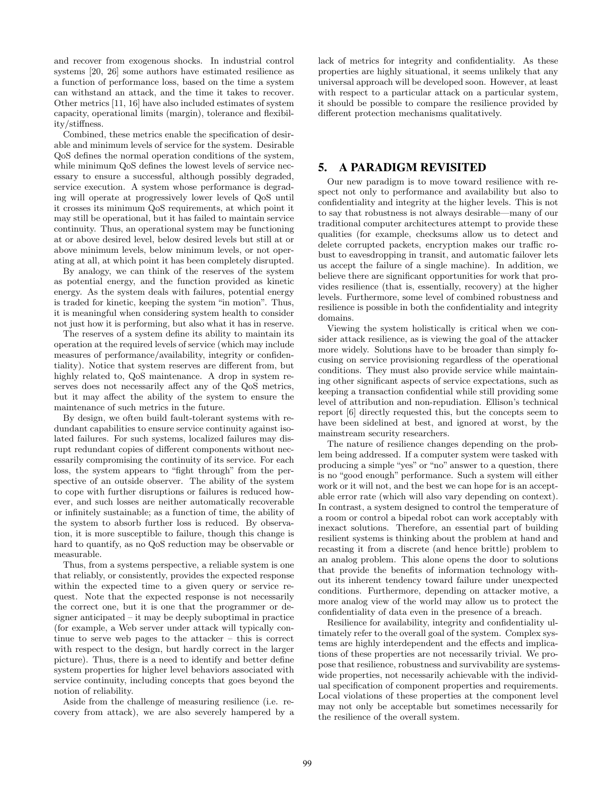and recover from exogenous shocks. In industrial control systems [20, 26] some authors have estimated resilience as a function of performance loss, based on the time a system can withstand an attack, and the time it takes to recover. Other metrics [11, 16] have also included estimates of system capacity, operational limits (margin), tolerance and flexibility/stiffness.

Combined, these metrics enable the specification of desirable and minimum levels of service for the system. Desirable QoS defines the normal operation conditions of the system, while minimum QoS defines the lowest levels of service necessary to ensure a successful, although possibly degraded, service execution. A system whose performance is degrading will operate at progressively lower levels of QoS until it crosses its minimum QoS requirements, at which point it may still be operational, but it has failed to maintain service continuity. Thus, an operational system may be functioning at or above desired level, below desired levels but still at or above minimum levels, below minimum levels, or not operating at all, at which point it has been completely disrupted.

By analogy, we can think of the reserves of the system as potential energy, and the function provided as kinetic energy. As the system deals with failures, potential energy is traded for kinetic, keeping the system "in motion". Thus, it is meaningful when considering system health to consider not just how it is performing, but also what it has in reserve.

The reserves of a system define its ability to maintain its operation at the required levels of service (which may include measures of performance/availability, integrity or confidentiality). Notice that system reserves are different from, but highly related to, QoS maintenance. A drop in system reserves does not necessarily affect any of the QoS metrics, but it may affect the ability of the system to ensure the maintenance of such metrics in the future.

By design, we often build fault-tolerant systems with redundant capabilities to ensure service continuity against isolated failures. For such systems, localized failures may disrupt redundant copies of different components without necessarily compromising the continuity of its service. For each loss, the system appears to "fight through" from the perspective of an outside observer. The ability of the system to cope with further disruptions or failures is reduced however, and such losses are neither automatically recoverable or infinitely sustainable; as a function of time, the ability of the system to absorb further loss is reduced. By observation, it is more susceptible to failure, though this change is hard to quantify, as no QoS reduction may be observable or measurable.

Thus, from a systems perspective, a reliable system is one that reliably, or consistently, provides the expected response within the expected time to a given query or service request. Note that the expected response is not necessarily the correct one, but it is one that the programmer or designer anticipated – it may be deeply suboptimal in practice (for example, a Web server under attack will typically continue to serve web pages to the attacker – this is correct with respect to the design, but hardly correct in the larger picture). Thus, there is a need to identify and better define system properties for higher level behaviors associated with service continuity, including concepts that goes beyond the notion of reliability.

Aside from the challenge of measuring resilience (i.e. recovery from attack), we are also severely hampered by a lack of metrics for integrity and confidentiality. As these properties are highly situational, it seems unlikely that any universal approach will be developed soon. However, at least with respect to a particular attack on a particular system, it should be possible to compare the resilience provided by different protection mechanisms qualitatively.

#### 5. A PARADIGM REVISITED

Our new paradigm is to move toward resilience with respect not only to performance and availability but also to confidentiality and integrity at the higher levels. This is not to say that robustness is not always desirable—many of our traditional computer architectures attempt to provide these qualities (for example, checksums allow us to detect and delete corrupted packets, encryption makes our traffic robust to eavesdropping in transit, and automatic failover lets us accept the failure of a single machine). In addition, we believe there are significant opportunities for work that provides resilience (that is, essentially, recovery) at the higher levels. Furthermore, some level of combined robustness and resilience is possible in both the confidentiality and integrity domains.

Viewing the system holistically is critical when we consider attack resilience, as is viewing the goal of the attacker more widely. Solutions have to be broader than simply focusing on service provisioning regardless of the operational conditions. They must also provide service while maintaining other significant aspects of service expectations, such as keeping a transaction confidential while still providing some level of attribution and non-repudiation. Ellison's technical report [6] directly requested this, but the concepts seem to have been sidelined at best, and ignored at worst, by the mainstream security researchers.

The nature of resilience changes depending on the problem being addressed. If a computer system were tasked with producing a simple "yes" or "no" answer to a question, there is no "good enough" performance. Such a system will either work or it will not, and the best we can hope for is an acceptable error rate (which will also vary depending on context). In contrast, a system designed to control the temperature of a room or control a bipedal robot can work acceptably with inexact solutions. Therefore, an essential part of building resilient systems is thinking about the problem at hand and recasting it from a discrete (and hence brittle) problem to an analog problem. This alone opens the door to solutions that provide the benefits of information technology without its inherent tendency toward failure under unexpected conditions. Furthermore, depending on attacker motive, a more analog view of the world may allow us to protect the confidentiality of data even in the presence of a breach.

Resilience for availability, integrity and confidentiality ultimately refer to the overall goal of the system. Complex systems are highly interdependent and the effects and implications of these properties are not necessarily trivial. We propose that resilience, robustness and survivability are systemswide properties, not necessarily achievable with the individual specification of component properties and requirements. Local violations of these properties at the component level may not only be acceptable but sometimes necessarily for the resilience of the overall system.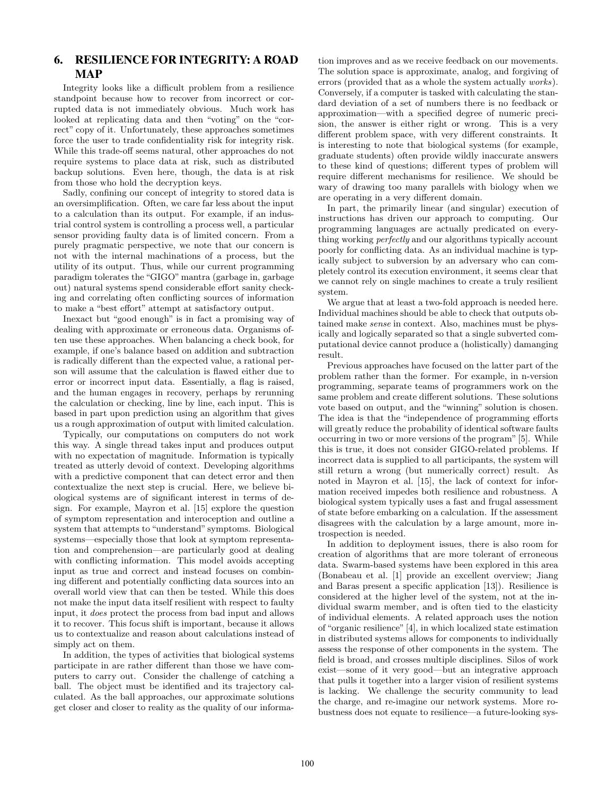## 6. RESILIENCE FOR INTEGRITY: A ROAD MAP

Integrity looks like a difficult problem from a resilience standpoint because how to recover from incorrect or corrupted data is not immediately obvious. Much work has looked at replicating data and then "voting" on the "correct" copy of it. Unfortunately, these approaches sometimes force the user to trade confidentiality risk for integrity risk. While this trade-off seems natural, other approaches do not require systems to place data at risk, such as distributed backup solutions. Even here, though, the data is at risk from those who hold the decryption keys.

Sadly, confining our concept of integrity to stored data is an oversimplification. Often, we care far less about the input to a calculation than its output. For example, if an industrial control system is controlling a process well, a particular sensor providing faulty data is of limited concern. From a purely pragmatic perspective, we note that our concern is not with the internal machinations of a process, but the utility of its output. Thus, while our current programming paradigm tolerates the "GIGO" mantra (garbage in, garbage out) natural systems spend considerable effort sanity checking and correlating often conflicting sources of information to make a "best effort" attempt at satisfactory output.

Inexact but "good enough" is in fact a promising way of dealing with approximate or erroneous data. Organisms often use these approaches. When balancing a check book, for example, if one's balance based on addition and subtraction is radically different than the expected value, a rational person will assume that the calculation is flawed either due to error or incorrect input data. Essentially, a flag is raised, and the human engages in recovery, perhaps by rerunning the calculation or checking, line by line, each input. This is based in part upon prediction using an algorithm that gives us a rough approximation of output with limited calculation.

Typically, our computations on computers do not work this way. A single thread takes input and produces output with no expectation of magnitude. Information is typically treated as utterly devoid of context. Developing algorithms with a predictive component that can detect error and then contextualize the next step is crucial. Here, we believe biological systems are of significant interest in terms of design. For example, Mayron et al. [15] explore the question of symptom representation and interoception and outline a system that attempts to "understand" symptoms. Biological systems—especially those that look at symptom representation and comprehension—are particularly good at dealing with conflicting information. This model avoids accepting input as true and correct and instead focuses on combining different and potentially conflicting data sources into an overall world view that can then be tested. While this does not make the input data itself resilient with respect to faulty input, it does protect the process from bad input and allows it to recover. This focus shift is important, because it allows us to contextualize and reason about calculations instead of simply act on them.

In addition, the types of activities that biological systems participate in are rather different than those we have computers to carry out. Consider the challenge of catching a ball. The object must be identified and its trajectory calculated. As the ball approaches, our approximate solutions get closer and closer to reality as the quality of our information improves and as we receive feedback on our movements. The solution space is approximate, analog, and forgiving of errors (provided that as a whole the system actually works). Conversely, if a computer is tasked with calculating the standard deviation of a set of numbers there is no feedback or approximation—with a specified degree of numeric precision, the answer is either right or wrong. This is a very different problem space, with very different constraints. It is interesting to note that biological systems (for example, graduate students) often provide wildly inaccurate answers to these kind of questions; different types of problem will require different mechanisms for resilience. We should be wary of drawing too many parallels with biology when we are operating in a very different domain.

In part, the primarily linear (and singular) execution of instructions has driven our approach to computing. Our programming languages are actually predicated on everything working perfectly and our algorithms typically account poorly for conflicting data. As an individual machine is typically subject to subversion by an adversary who can completely control its execution environment, it seems clear that we cannot rely on single machines to create a truly resilient system.

We argue that at least a two-fold approach is needed here. Individual machines should be able to check that outputs obtained make sense in context. Also, machines must be physically and logically separated so that a single subverted computational device cannot produce a (holistically) damanging result.

Previous approaches have focused on the latter part of the problem rather than the former. For example, in n-version programming, separate teams of programmers work on the same problem and create different solutions. These solutions vote based on output, and the "winning" solution is chosen. The idea is that the "independence of programming efforts will greatly reduce the probability of identical software faults occurring in two or more versions of the program" [5]. While this is true, it does not consider GIGO-related problems. If incorrect data is supplied to all participants, the system will still return a wrong (but numerically correct) result. As noted in Mayron et al. [15], the lack of context for information received impedes both resilience and robustness. A biological system typically uses a fast and frugal assessment of state before embarking on a calculation. If the assessment disagrees with the calculation by a large amount, more introspection is needed.

In addition to deployment issues, there is also room for creation of algorithms that are more tolerant of erroneous data. Swarm-based systems have been explored in this area (Bonabeau et al. [1] provide an excellent overview; Jiang and Baras present a specific application [13]). Resilience is considered at the higher level of the system, not at the individual swarm member, and is often tied to the elasticity of individual elements. A related approach uses the notion of "organic resilience" [4], in which localized state estimation in distributed systems allows for components to individually assess the response of other components in the system. The field is broad, and crosses multiple disciplines. Silos of work exist—some of it very good—but an integrative approach that pulls it together into a larger vision of resilient systems is lacking. We challenge the security community to lead the charge, and re-imagine our network systems. More robustness does not equate to resilience—a future-looking sys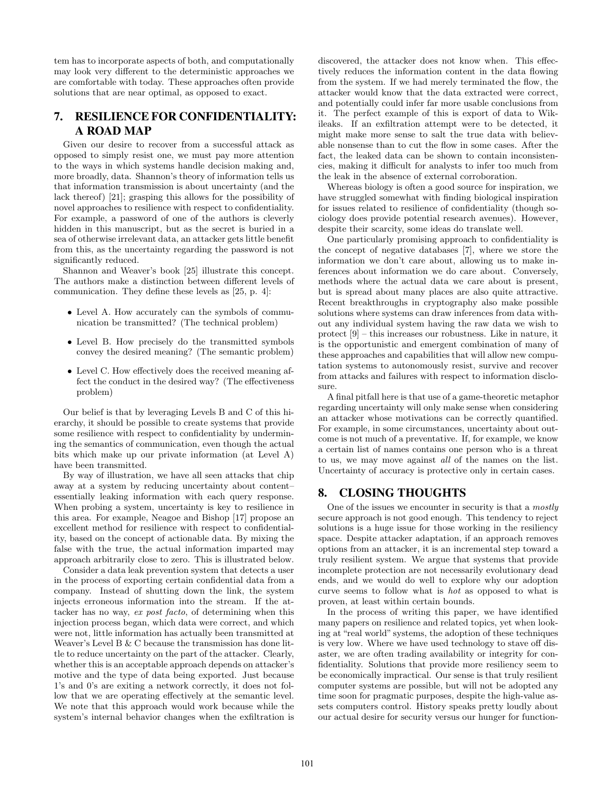tem has to incorporate aspects of both, and computationally may look very different to the deterministic approaches we are comfortable with today. These approaches often provide solutions that are near optimal, as opposed to exact.

## 7. RESILIENCE FOR CONFIDENTIALITY: A ROAD MAP

Given our desire to recover from a successful attack as opposed to simply resist one, we must pay more attention to the ways in which systems handle decision making and, more broadly, data. Shannon's theory of information tells us that information transmission is about uncertainty (and the lack thereof) [21]; grasping this allows for the possibility of novel approaches to resilience with respect to confidentiality. For example, a password of one of the authors is cleverly hidden in this manuscript, but as the secret is buried in a sea of otherwise irrelevant data, an attacker gets little benefit from this, as the uncertainty regarding the password is not significantly reduced.

Shannon and Weaver's book [25] illustrate this concept. The authors make a distinction between different levels of communication. They define these levels as [25, p. 4]:

- Level A. How accurately can the symbols of communication be transmitted? (The technical problem)
- Level B. How precisely do the transmitted symbols convey the desired meaning? (The semantic problem)
- Level C. How effectively does the received meaning affect the conduct in the desired way? (The effectiveness problem)

Our belief is that by leveraging Levels B and C of this hierarchy, it should be possible to create systems that provide some resilience with respect to confidentiality by undermining the semantics of communication, even though the actual bits which make up our private information (at Level A) have been transmitted.

By way of illustration, we have all seen attacks that chip away at a system by reducing uncertainty about content– essentially leaking information with each query response. When probing a system, uncertainty is key to resilience in this area. For example, Neagoe and Bishop [17] propose an excellent method for resilience with respect to confidentiality, based on the concept of actionable data. By mixing the false with the true, the actual information imparted may approach arbitrarily close to zero. This is illustrated below.

Consider a data leak prevention system that detects a user in the process of exporting certain confidential data from a company. Instead of shutting down the link, the system injects erroneous information into the stream. If the attacker has no way, ex post facto, of determining when this injection process began, which data were correct, and which were not, little information has actually been transmitted at Weaver's Level B & C because the transmission has done little to reduce uncertainty on the part of the attacker. Clearly, whether this is an acceptable approach depends on attacker's motive and the type of data being exported. Just because 1's and 0's are exiting a network correctly, it does not follow that we are operating effectively at the semantic level. We note that this approach would work because while the system's internal behavior changes when the exfiltration is discovered, the attacker does not know when. This effectively reduces the information content in the data flowing from the system. If we had merely terminated the flow, the attacker would know that the data extracted were correct, and potentially could infer far more usable conclusions from it. The perfect example of this is export of data to Wikileaks. If an exfiltration attempt were to be detected, it might make more sense to salt the true data with believable nonsense than to cut the flow in some cases. After the fact, the leaked data can be shown to contain inconsistencies, making it difficult for analysts to infer too much from the leak in the absence of external corroboration.

Whereas biology is often a good source for inspiration, we have struggled somewhat with finding biological inspiration for issues related to resilience of confidentiality (though sociology does provide potential research avenues). However, despite their scarcity, some ideas do translate well.

One particularly promising approach to confidentiality is the concept of negative databases [7], where we store the information we don't care about, allowing us to make inferences about information we do care about. Conversely, methods where the actual data we care about is present, but is spread about many places are also quite attractive. Recent breakthroughs in cryptography also make possible solutions where systems can draw inferences from data without any individual system having the raw data we wish to protect [9] – this increases our robustness. Like in nature, it is the opportunistic and emergent combination of many of these approaches and capabilities that will allow new computation systems to autonomously resist, survive and recover from attacks and failures with respect to information disclosure.

A final pitfall here is that use of a game-theoretic metaphor regarding uncertainty will only make sense when considering an attacker whose motivations can be correctly quantified. For example, in some circumstances, uncertainty about outcome is not much of a preventative. If, for example, we know a certain list of names contains one person who is a threat to us, we may move against all of the names on the list. Uncertainty of accuracy is protective only in certain cases.

## 8. CLOSING THOUGHTS

One of the issues we encounter in security is that a mostly secure approach is not good enough. This tendency to reject solutions is a huge issue for those working in the resiliency space. Despite attacker adaptation, if an approach removes options from an attacker, it is an incremental step toward a truly resilient system. We argue that systems that provide incomplete protection are not necessarily evolutionary dead ends, and we would do well to explore why our adoption curve seems to follow what is hot as opposed to what is proven, at least within certain bounds.

In the process of writing this paper, we have identified many papers on resilience and related topics, yet when looking at "real world" systems, the adoption of these techniques is very low. Where we have used technology to stave off disaster, we are often trading availability or integrity for confidentiality. Solutions that provide more resiliency seem to be economically impractical. Our sense is that truly resilient computer systems are possible, but will not be adopted any time soon for pragmatic purposes, despite the high-value assets computers control. History speaks pretty loudly about our actual desire for security versus our hunger for function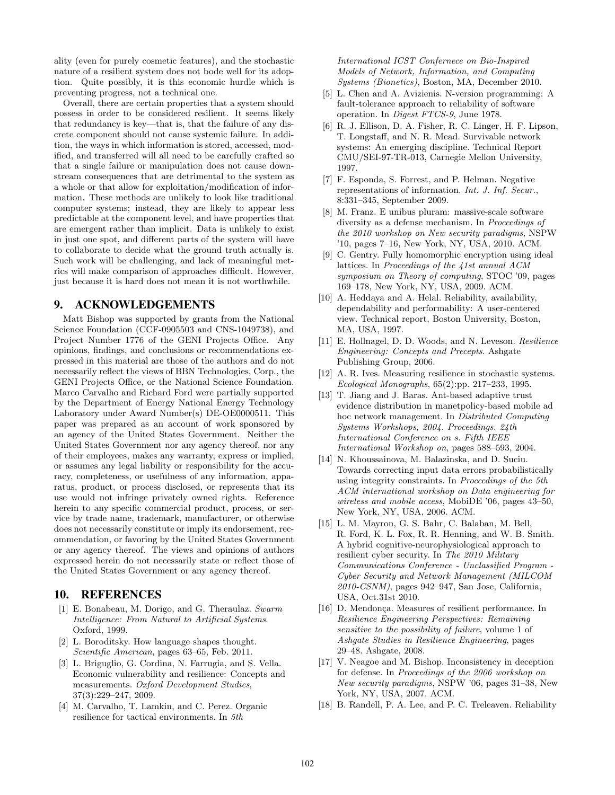ality (even for purely cosmetic features), and the stochastic nature of a resilient system does not bode well for its adoption. Quite possibly, it is this economic hurdle which is preventing progress, not a technical one.

Overall, there are certain properties that a system should possess in order to be considered resilient. It seems likely that redundancy is key—that is, that the failure of any discrete component should not cause systemic failure. In addition, the ways in which information is stored, accessed, modified, and transferred will all need to be carefully crafted so that a single failure or manipulation does not cause downstream consequences that are detrimental to the system as a whole or that allow for exploitation/modification of information. These methods are unlikely to look like traditional computer systems; instead, they are likely to appear less predictable at the component level, and have properties that are emergent rather than implicit. Data is unlikely to exist in just one spot, and different parts of the system will have to collaborate to decide what the ground truth actually is. Such work will be challenging, and lack of meaningful metrics will make comparison of approaches difficult. However, just because it is hard does not mean it is not worthwhile.

#### 9. ACKNOWLEDGEMENTS

Matt Bishop was supported by grants from the National Science Foundation (CCF-0905503 and CNS-1049738), and Project Number 1776 of the GENI Projects Office. Any opinions, findings, and conclusions or recommendations expressed in this material are those of the authors and do not necessarily reflect the views of BBN Technologies, Corp., the GENI Projects Office, or the National Science Foundation. Marco Carvalho and Richard Ford were partially supported by the Department of Energy National Energy Technology Laboratory under Award Number(s) DE-OE0000511. This paper was prepared as an account of work sponsored by an agency of the United States Government. Neither the United States Government nor any agency thereof, nor any of their employees, makes any warranty, express or implied, or assumes any legal liability or responsibility for the accuracy, completeness, or usefulness of any information, apparatus, product, or process disclosed, or represents that its use would not infringe privately owned rights. Reference herein to any specific commercial product, process, or service by trade name, trademark, manufacturer, or otherwise does not necessarily constitute or imply its endorsement, recommendation, or favoring by the United States Government or any agency thereof. The views and opinions of authors expressed herein do not necessarily state or reflect those of the United States Government or any agency thereof.

### 10. REFERENCES

- [1] E. Bonabeau, M. Dorigo, and G. Theraulaz. Swarm Intelligence: From Natural to Artificial Systems. Oxford, 1999.
- [2] L. Boroditsky. How language shapes thought. Scientific American, pages 63–65, Feb. 2011.
- [3] L. Briguglio, G. Cordina, N. Farrugia, and S. Vella. Economic vulnerability and resilience: Concepts and measurements. Oxford Development Studies, 37(3):229–247, 2009.
- [4] M. Carvalho, T. Lamkin, and C. Perez. Organic resilience for tactical environments. In 5th

International ICST Confernece on Bio-Inspired Models of Network, Information, and Computing Systems (Bionetics), Boston, MA, December 2010.

- [5] L. Chen and A. Avizienis. N-version programming: A fault-tolerance approach to reliability of software operation. In Digest FTCS-9, June 1978.
- [6] R. J. Ellison, D. A. Fisher, R. C. Linger, H. F. Lipson, T. Longstaff, and N. R. Mead. Survivable network systems: An emerging discipline. Technical Report CMU/SEI-97-TR-013, Carnegie Mellon University, 1997.
- [7] F. Esponda, S. Forrest, and P. Helman. Negative representations of information. Int. J. Inf. Secur., 8:331–345, September 2009.
- [8] M. Franz. E unibus pluram: massive-scale software diversity as a defense mechanism. In Proceedings of the 2010 workshop on New security paradigms, NSPW '10, pages 7–16, New York, NY, USA, 2010. ACM.
- [9] C. Gentry. Fully homomorphic encryption using ideal lattices. In Proceedings of the 41st annual ACM symposium on Theory of computing, STOC '09, pages 169–178, New York, NY, USA, 2009. ACM.
- [10] A. Heddaya and A. Helal. Reliability, availability, dependability and performability: A user-centered view. Technical report, Boston University, Boston, MA, USA, 1997.
- [11] E. Hollnagel, D. D. Woods, and N. Leveson. Resilience Engineering: Concepts and Precepts. Ashgate Publishing Group, 2006.
- [12] A. R. Ives. Measuring resilience in stochastic systems. Ecological Monographs, 65(2):pp. 217–233, 1995.
- [13] T. Jiang and J. Baras. Ant-based adaptive trust evidence distribution in manetpolicy-based mobile ad hoc network management. In Distributed Computing Systems Workshops, 2004. Proceedings. 24th International Conference on s. Fifth IEEE International Workshop on, pages 588–593, 2004.
- [14] N. Khoussainova, M. Balazinska, and D. Suciu. Towards correcting input data errors probabilistically using integrity constraints. In Proceedings of the 5th ACM international workshop on Data engineering for wireless and mobile access, MobiDE '06, pages 43–50, New York, NY, USA, 2006. ACM.
- [15] L. M. Mayron, G. S. Bahr, C. Balaban, M. Bell, R. Ford, K. L. Fox, R. R. Henning, and W. B. Smith. A hybrid cognitive-neurophysiological approach to resilient cyber security. In The 2010 Military Communications Conference - Unclassified Program - Cyber Security and Network Management (MILCOM  $2010$ -CSNM), pages 942–947, San Jose, California, USA, Oct.31st 2010.
- [16] D. Mendonça. Measures of resilient performance. In Resilience Engineering Perspectives: Remaining sensitive to the possibility of failure, volume 1 of Ashgate Studies in Resilience Engineering, pages 29–48. Ashgate, 2008.
- [17] V. Neagoe and M. Bishop. Inconsistency in deception for defense. In Proceedings of the 2006 workshop on New security paradigms, NSPW '06, pages 31–38, New York, NY, USA, 2007. ACM.
- [18] B. Randell, P. A. Lee, and P. C. Treleaven. Reliability